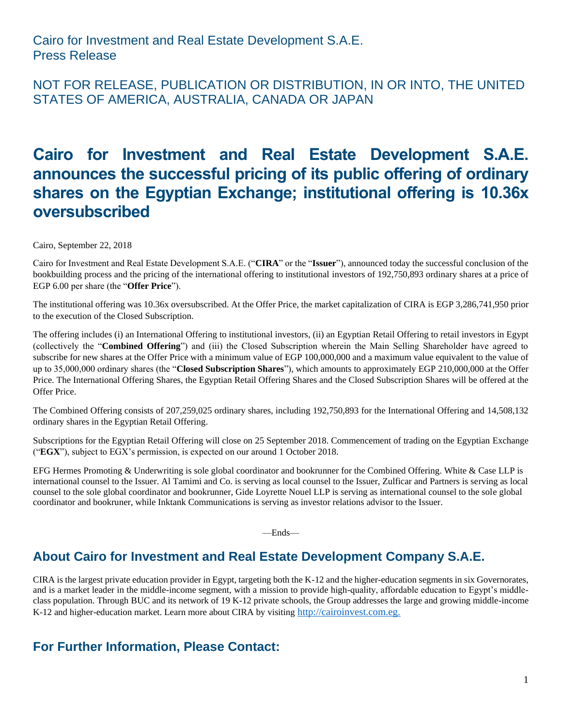#### NOT FOR RELEASE, PUBLICATION OR DISTRIBUTION, IN OR INTO, THE UNITED STATES OF AMERICA, AUSTRALIA, CANADA OR JAPAN

# **Cairo for Investment and Real Estate Development S.A.E. announces the successful pricing of its public offering of ordinary shares on the Egyptian Exchange; institutional offering is 10.36x oversubscribed**

Cairo, September 22, 2018

Cairo for Investment and Real Estate Development S.A.E. ("**CIRA**" or the "**Issuer**"), announced today the successful conclusion of the bookbuilding process and the pricing of the international offering to institutional investors of 192,750,893 ordinary shares at a price of EGP 6.00 per share (the "**Offer Price**").

The institutional offering was 10.36x oversubscribed. At the Offer Price, the market capitalization of CIRA is EGP 3,286,741,950 prior to the execution of the Closed Subscription.

The offering includes (i) an International Offering to institutional investors, (ii) an Egyptian Retail Offering to retail investors in Egypt (collectively the "**Combined Offering**") and (iii) the Closed Subscription wherein the Main Selling Shareholder have agreed to subscribe for new shares at the Offer Price with a minimum value of EGP 100,000,000 and a maximum value equivalent to the value of up to 35,000,000 ordinary shares (the "**Closed Subscription Shares**"), which amounts to approximately EGP 210,000,000 at the Offer Price. The International Offering Shares, the Egyptian Retail Offering Shares and the Closed Subscription Shares will be offered at the Offer Price.

The Combined Offering consists of 207,259,025 ordinary shares, including 192,750,893 for the International Offering and 14,508,132 ordinary shares in the Egyptian Retail Offering.

Subscriptions for the Egyptian Retail Offering will close on 25 September 2018. Commencement of trading on the Egyptian Exchange ("**EGX**"), subject to EGX's permission, is expected on our around 1 October 2018.

EFG Hermes Promoting & Underwriting is sole global coordinator and bookrunner for the Combined Offering. White & Case LLP is international counsel to the Issuer. Al Tamimi and Co. is serving as local counsel to the Issuer, Zulficar and Partners is serving as local counsel to the sole global coordinator and bookrunner, Gide Loyrette Nouel LLP is serving as international counsel to the sole global coordinator and bookruner, while Inktank Communications is serving as investor relations advisor to the Issuer.

—Ends—

# **About Cairo for Investment and Real Estate Development Company S.A.E.**

CIRA is the largest private education provider in Egypt, targeting both the K-12 and the higher-education segments in six Governorates, and is a market leader in the middle-income segment, with a mission to provide high-quality, affordable education to Egypt's middleclass population. Through BUC and its network of 19 K-12 private schools, the Group addresses the large and growing middle-income K-12 and higher-education market. Learn more about CIRA by visiting [http://cairoinvest.com.eg.](http://cairoinvest.com.eg/)

# **For Further Information, Please Contact:**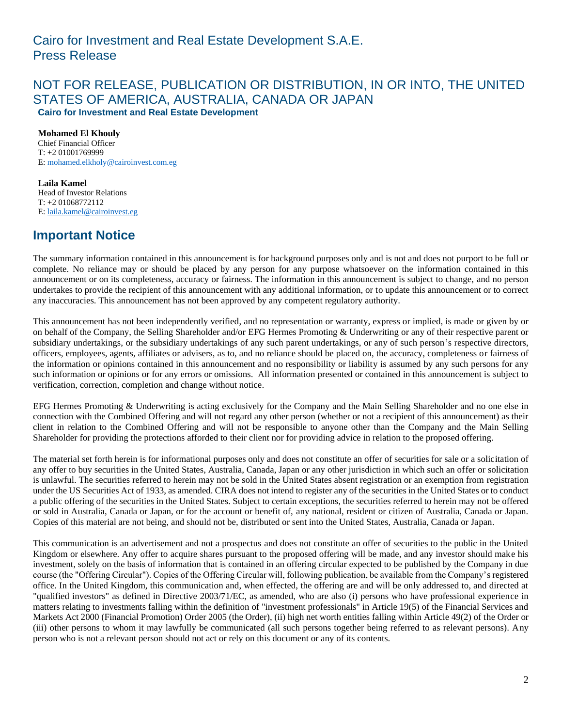#### NOT FOR RELEASE, PUBLICATION OR DISTRIBUTION, IN OR INTO, THE UNITED STATES OF AMERICA, AUSTRALIA, CANADA OR JAPAN **Cairo for Investment and Real Estate Development**

**Mohamed El Khouly** Chief Financial Officer T: +2 01001769999 E[: mohamed.elkholy@cairoinvest.com.eg](mailto:mohamed.elkholy@cairoinvest.com.eg)

**Laila Kamel** Head of Investor Relations T: +2 01068772112 E[: laila.kamel@cairoinvest.eg](mailto:laila.kamel@cairoinvest.eg)

# **Important Notice**

The summary information contained in this announcement is for background purposes only and is not and does not purport to be full or complete. No reliance may or should be placed by any person for any purpose whatsoever on the information contained in this announcement or on its completeness, accuracy or fairness. The information in this announcement is subject to change, and no person undertakes to provide the recipient of this announcement with any additional information, or to update this announcement or to correct any inaccuracies. This announcement has not been approved by any competent regulatory authority.

This announcement has not been independently verified, and no representation or warranty, express or implied, is made or given by or on behalf of the Company, the Selling Shareholder and/or EFG Hermes Promoting & Underwriting or any of their respective parent or subsidiary undertakings, or the subsidiary undertakings of any such parent undertakings, or any of such person's respective directors, officers, employees, agents, affiliates or advisers, as to, and no reliance should be placed on, the accuracy, completeness or fairness of the information or opinions contained in this announcement and no responsibility or liability is assumed by any such persons for any such information or opinions or for any errors or omissions. All information presented or contained in this announcement is subject to verification, correction, completion and change without notice.

EFG Hermes Promoting & Underwriting is acting exclusively for the Company and the Main Selling Shareholder and no one else in connection with the Combined Offering and will not regard any other person (whether or not a recipient of this announcement) as their client in relation to the Combined Offering and will not be responsible to anyone other than the Company and the Main Selling Shareholder for providing the protections afforded to their client nor for providing advice in relation to the proposed offering.

The material set forth herein is for informational purposes only and does not constitute an offer of securities for sale or a solicitation of any offer to buy securities in the United States, Australia, Canada, Japan or any other jurisdiction in which such an offer or solicitation is unlawful. The securities referred to herein may not be sold in the United States absent registration or an exemption from registration under the US Securities Act of 1933, as amended. CIRA does not intend to register any of the securities in the United States or to conduct a public offering of the securities in the United States. Subject to certain exceptions, the securities referred to herein may not be offered or sold in Australia, Canada or Japan, or for the account or benefit of, any national, resident or citizen of Australia, Canada or Japan. Copies of this material are not being, and should not be, distributed or sent into the United States, Australia, Canada or Japan.

This communication is an advertisement and not a prospectus and does not constitute an offer of securities to the public in the United Kingdom or elsewhere. Any offer to acquire shares pursuant to the proposed offering will be made, and any investor should make his investment, solely on the basis of information that is contained in an offering circular expected to be published by the Company in due course (the "Offering Circular"). Copies of the Offering Circular will, following publication, be available from the Company's registered office. In the United Kingdom, this communication and, when effected, the offering are and will be only addressed to, and directed at "qualified investors" as defined in Directive 2003/71/EC, as amended, who are also (i) persons who have professional experience in matters relating to investments falling within the definition of "investment professionals" in Article 19(5) of the Financial Services and Markets Act 2000 (Financial Promotion) Order 2005 (the Order), (ii) high net worth entities falling within Article 49(2) of the Order or (iii) other persons to whom it may lawfully be communicated (all such persons together being referred to as relevant persons). Any person who is not a relevant person should not act or rely on this document or any of its contents.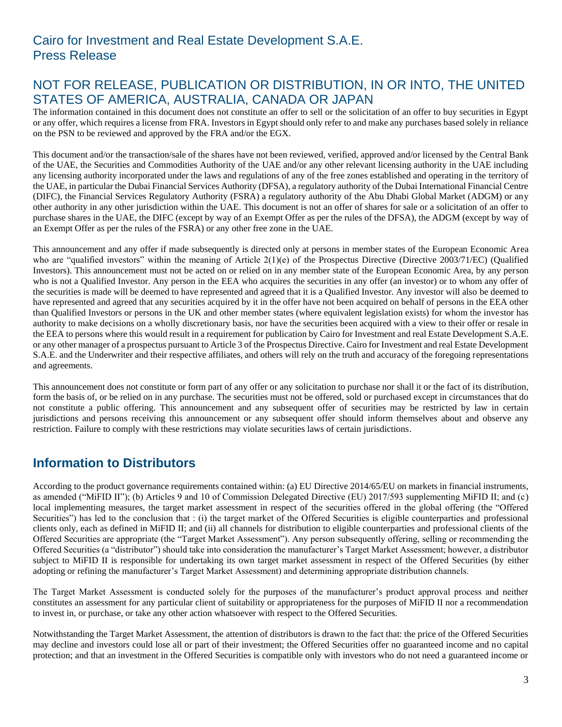# NOT FOR RELEASE, PUBLICATION OR DISTRIBUTION, IN OR INTO, THE UNITED STATES OF AMERICA, AUSTRALIA, CANADA OR JAPAN

The information contained in this document does not constitute an offer to sell or the solicitation of an offer to buy securities in Egypt or any offer, which requires a license from FRA. Investors in Egypt should only refer to and make any purchases based solely in reliance on the PSN to be reviewed and approved by the FRA and/or the EGX.

This document and/or the transaction/sale of the shares have not been reviewed, verified, approved and/or licensed by the Central Bank of the UAE, the Securities and Commodities Authority of the UAE and/or any other relevant licensing authority in the UAE including any licensing authority incorporated under the laws and regulations of any of the free zones established and operating in the territory of the UAE, in particular the Dubai Financial Services Authority (DFSA), a regulatory authority of the Dubai International Financial Centre (DIFC), the Financial Services Regulatory Authority (FSRA) a regulatory authority of the Abu Dhabi Global Market (ADGM) or any other authority in any other jurisdiction within the UAE. This document is not an offer of shares for sale or a solicitation of an offer to purchase shares in the UAE, the DIFC (except by way of an Exempt Offer as per the rules of the DFSA), the ADGM (except by way of an Exempt Offer as per the rules of the FSRA) or any other free zone in the UAE.

This announcement and any offer if made subsequently is directed only at persons in member states of the European Economic Area who are "qualified investors" within the meaning of Article  $2(1)(e)$  of the Prospectus Directive (Directive 2003/71/EC) (Qualified Investors). This announcement must not be acted on or relied on in any member state of the European Economic Area, by any person who is not a Qualified Investor. Any person in the EEA who acquires the securities in any offer (an investor) or to whom any offer of the securities is made will be deemed to have represented and agreed that it is a Qualified Investor. Any investor will also be deemed to have represented and agreed that any securities acquired by it in the offer have not been acquired on behalf of persons in the EEA other than Qualified Investors or persons in the UK and other member states (where equivalent legislation exists) for whom the investor has authority to make decisions on a wholly discretionary basis, nor have the securities been acquired with a view to their offer or resale in the EEA to persons where this would result in a requirement for publication by Cairo for Investment and real Estate Development S.A.E. or any other manager of a prospectus pursuant to Article 3 of the Prospectus Directive. Cairo for Investment and real Estate Development S.A.E. and the Underwriter and their respective affiliates, and others will rely on the truth and accuracy of the foregoing representations and agreements.

This announcement does not constitute or form part of any offer or any solicitation to purchase nor shall it or the fact of its distribution, form the basis of, or be relied on in any purchase. The securities must not be offered, sold or purchased except in circumstances that do not constitute a public offering. This announcement and any subsequent offer of securities may be restricted by law in certain jurisdictions and persons receiving this announcement or any subsequent offer should inform themselves about and observe any restriction. Failure to comply with these restrictions may violate securities laws of certain jurisdictions.

# **Information to Distributors**

According to the product governance requirements contained within: (a) EU Directive 2014/65/EU on markets in financial instruments, as amended ("MiFID II"); (b) Articles 9 and 10 of Commission Delegated Directive (EU) 2017/593 supplementing MiFID II; and (c) local implementing measures, the target market assessment in respect of the securities offered in the global offering (the "Offered Securities") has led to the conclusion that : (i) the target market of the Offered Securities is eligible counterparties and professional clients only, each as defined in MiFID II; and (ii) all channels for distribution to eligible counterparties and professional clients of the Offered Securities are appropriate (the "Target Market Assessment"). Any person subsequently offering, selling or recommending the Offered Securities (a "distributor") should take into consideration the manufacturer's Target Market Assessment; however, a distributor subject to MiFID II is responsible for undertaking its own target market assessment in respect of the Offered Securities (by either adopting or refining the manufacturer's Target Market Assessment) and determining appropriate distribution channels.

The Target Market Assessment is conducted solely for the purposes of the manufacturer's product approval process and neither constitutes an assessment for any particular client of suitability or appropriateness for the purposes of MiFID II nor a recommendation to invest in, or purchase, or take any other action whatsoever with respect to the Offered Securities.

Notwithstanding the Target Market Assessment, the attention of distributors is drawn to the fact that: the price of the Offered Securities may decline and investors could lose all or part of their investment; the Offered Securities offer no guaranteed income and no capital protection; and that an investment in the Offered Securities is compatible only with investors who do not need a guaranteed income or